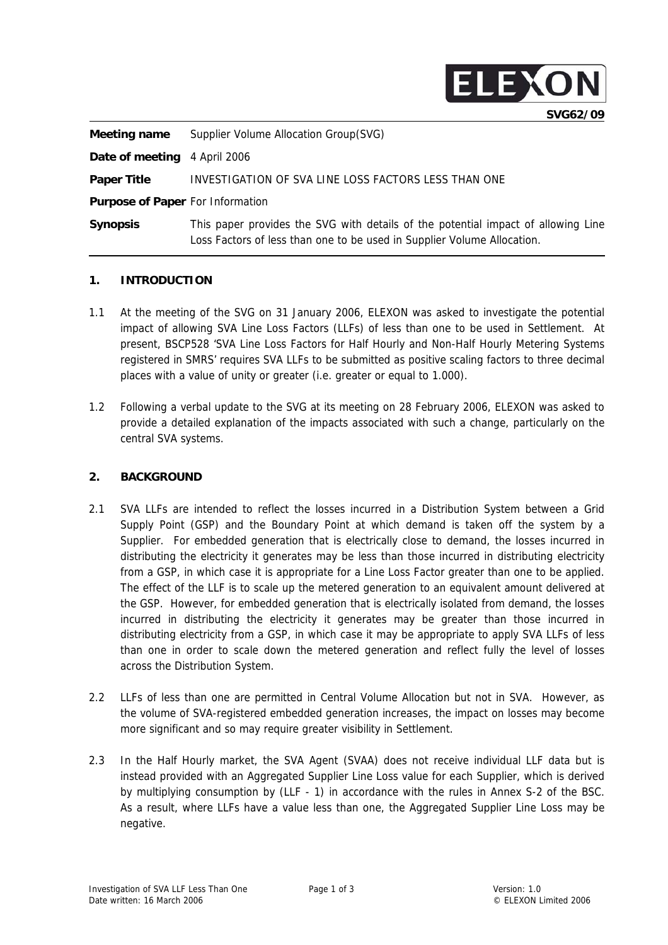

| Meeting name                            | Supplier Volume Allocation Group(SVG)                                                                                                                        |
|-----------------------------------------|--------------------------------------------------------------------------------------------------------------------------------------------------------------|
| <b>Date of meeting</b> 4 April 2006     |                                                                                                                                                              |
| <b>Paper Title</b>                      | INVESTIGATION OF SVA LINE LOSS FACTORS LESS THAN ONE                                                                                                         |
| <b>Purpose of Paper For Information</b> |                                                                                                                                                              |
| <b>Synopsis</b>                         | This paper provides the SVG with details of the potential impact of allowing Line<br>Loss Factors of less than one to be used in Supplier Volume Allocation. |

#### **1. INTRODUCTION**

- 1.1 At the meeting of the SVG on 31 January 2006, ELEXON was asked to investigate the potential impact of allowing SVA Line Loss Factors (LLFs) of less than one to be used in Settlement. At present, BSCP528 'SVA Line Loss Factors for Half Hourly and Non-Half Hourly Metering Systems registered in SMRS' requires SVA LLFs to be submitted as positive scaling factors to three decimal places with a value of unity or greater (i.e. greater or equal to 1.000).
- 1.2 Following a verbal update to the SVG at its meeting on 28 February 2006, ELEXON was asked to provide a detailed explanation of the impacts associated with such a change, particularly on the central SVA systems.

#### **2. BACKGROUND**

- 2.1 SVA LLFs are intended to reflect the losses incurred in a Distribution System between a Grid Supply Point (GSP) and the Boundary Point at which demand is taken off the system by a Supplier. For embedded generation that is electrically close to demand, the losses incurred in distributing the electricity it generates may be less than those incurred in distributing electricity from a GSP, in which case it is appropriate for a Line Loss Factor greater than one to be applied. The effect of the LLF is to scale up the metered generation to an equivalent amount delivered at the GSP. However, for embedded generation that is electrically isolated from demand, the losses incurred in distributing the electricity it generates may be greater than those incurred in distributing electricity from a GSP, in which case it may be appropriate to apply SVA LLFs of less than one in order to scale down the metered generation and reflect fully the level of losses across the Distribution System.
- 2.2 LLFs of less than one are permitted in Central Volume Allocation but not in SVA. However, as the volume of SVA-registered embedded generation increases, the impact on losses may become more significant and so may require greater visibility in Settlement.
- 2.3 In the Half Hourly market, the SVA Agent (SVAA) does not receive individual LLF data but is instead provided with an Aggregated Supplier Line Loss value for each Supplier, which is derived by multiplying consumption by (LLF - 1) in accordance with the rules in Annex S-2 of the BSC. As a result, where LLFs have a value less than one, the Aggregated Supplier Line Loss may be negative.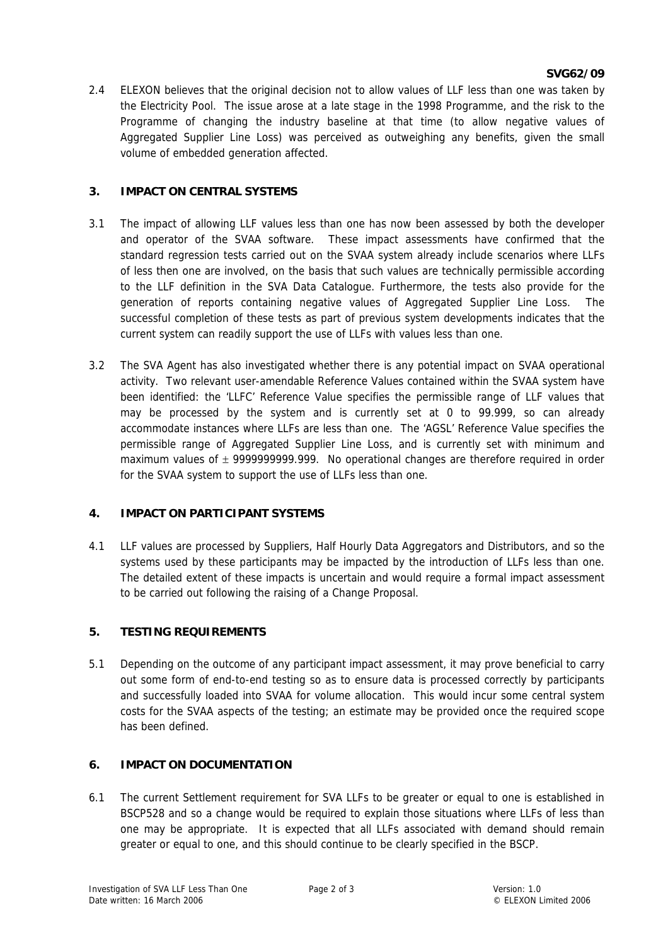#### **SVG62/09**

2.4 ELEXON believes that the original decision not to allow values of LLF less than one was taken by the Electricity Pool. The issue arose at a late stage in the 1998 Programme, and the risk to the Programme of changing the industry baseline at that time (to allow negative values of Aggregated Supplier Line Loss) was perceived as outweighing any benefits, given the small volume of embedded generation affected.

#### **3. IMPACT ON CENTRAL SYSTEMS**

- 3.1 The impact of allowing LLF values less than one has now been assessed by both the developer and operator of the SVAA software. These impact assessments have confirmed that the standard regression tests carried out on the SVAA system already include scenarios where LLFs of less then one are involved, on the basis that such values are technically permissible according to the LLF definition in the SVA Data Catalogue. Furthermore, the tests also provide for the generation of reports containing negative values of Aggregated Supplier Line Loss. The successful completion of these tests as part of previous system developments indicates that the current system can readily support the use of LLFs with values less than one.
- 3.2 The SVA Agent has also investigated whether there is any potential impact on SVAA operational activity. Two relevant user-amendable Reference Values contained within the SVAA system have been identified: the 'LLFC' Reference Value specifies the permissible range of LLF values that may be processed by the system and is currently set at 0 to 99.999, so can already accommodate instances where LLFs are less than one. The 'AGSL' Reference Value specifies the permissible range of Aggregated Supplier Line Loss, and is currently set with minimum and maximum values of  $\pm$  9999999999.999. No operational changes are therefore required in order for the SVAA system to support the use of LLFs less than one.

# **4. IMPACT ON PARTICIPANT SYSTEMS**

4.1 LLF values are processed by Suppliers, Half Hourly Data Aggregators and Distributors, and so the systems used by these participants may be impacted by the introduction of LLFs less than one. The detailed extent of these impacts is uncertain and would require a formal impact assessment to be carried out following the raising of a Change Proposal.

# **5. TESTING REQUIREMENTS**

5.1 Depending on the outcome of any participant impact assessment, it may prove beneficial to carry out some form of end-to-end testing so as to ensure data is processed correctly by participants and successfully loaded into SVAA for volume allocation. This would incur some central system costs for the SVAA aspects of the testing; an estimate may be provided once the required scope has been defined.

# **6. IMPACT ON DOCUMENTATION**

6.1 The current Settlement requirement for SVA LLFs to be greater or equal to one is established in BSCP528 and so a change would be required to explain those situations where LLFs of less than one may be appropriate. It is expected that all LLFs associated with demand should remain greater or equal to one, and this should continue to be clearly specified in the BSCP.